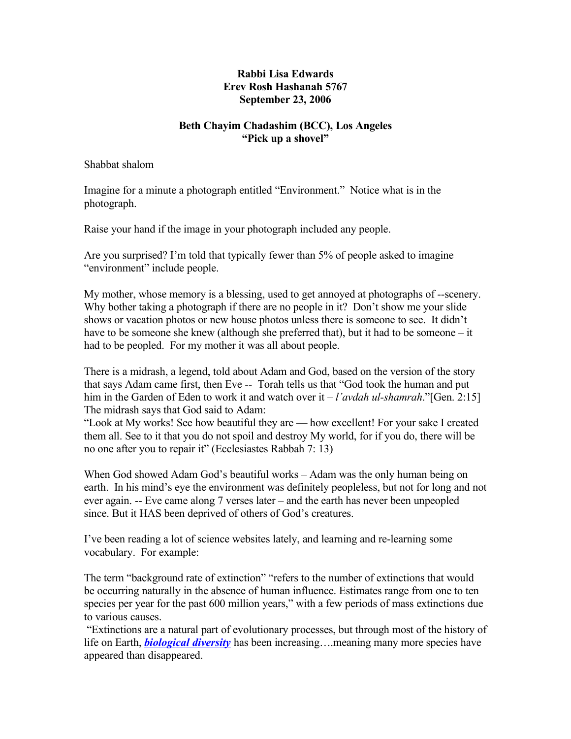## **Rabbi Lisa Edwards Erev Rosh Hashanah 5767 September 23, 2006**

## **Beth Chayim Chadashim (BCC), Los Angeles "Pick up a shovel"**

Shabbat shalom

Imagine for a minute a photograph entitled "Environment." Notice what is in the photograph.

Raise your hand if the image in your photograph included any people.

Are you surprised? I'm told that typically fewer than 5% of people asked to imagine "environment" include people.

My mother, whose memory is a blessing, used to get annoyed at photographs of --scenery. Why bother taking a photograph if there are no people in it? Don't show me your slide shows or vacation photos or new house photos unless there is someone to see. It didn't have to be someone she knew (although she preferred that), but it had to be someone – it had to be peopled. For my mother it was all about people.

There is a midrash, a legend, told about Adam and God, based on the version of the story that says Adam came first, then Eve -- Torah tells us that "God took the human and put him in the Garden of Eden to work it and watch over it – *l'avdah ul-shamrah*."[Gen. 2:15] The midrash says that God said to Adam:

"Look at My works! See how beautiful they are — how excellent! For your sake I created them all. See to it that you do not spoil and destroy My world, for if you do, there will be no one after you to repair it" (Ecclesiastes Rabbah 7: 13)

When God showed Adam God's beautiful works – Adam was the only human being on earth. In his mind's eye the environment was definitely peopleless, but not for long and not ever again. -- Eve came along 7 verses later – and the earth has never been unpeopled since. But it HAS been deprived of others of God's creatures.

I've been reading a lot of science websites lately, and learning and re-learning some vocabulary. For example:

The term "background rate of extinction" "refers to the number of extinctions that would be occurring naturally in the absence of human influence. Estimates range from one to ten species per year for the past 600 million years," with a few periods of mass extinctions due to various causes.

"Extinctions are a natural part of evolutionary processes, but through most of the history of life on Earth, *[biological diversity](http://www.bagheera.com/inthewild/class_glossary.htm#Biodiversity)* has been increasing….meaning many more species have appeared than disappeared.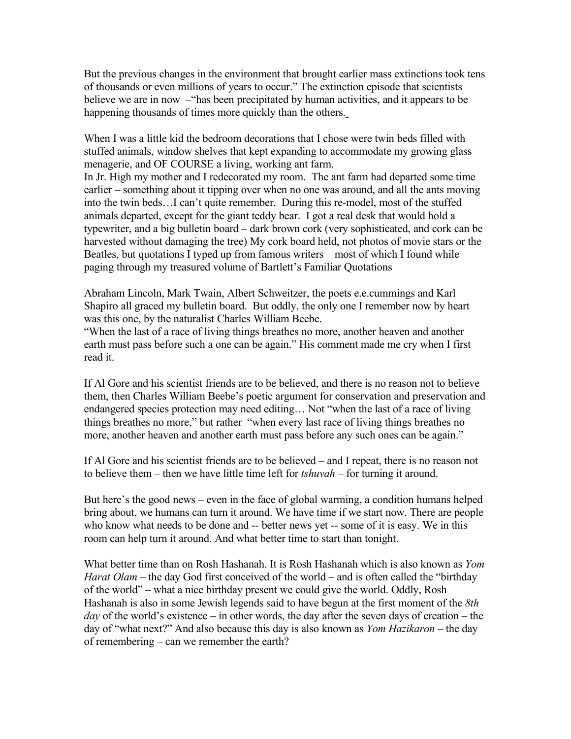But the previous changes in the environment that brought earlier mass extinctions took tens of thousands or even millions of years to occur." The extinction episode that scientists believe we are in now – has been precipitated by human activities, and it appears to be happening thousands of times more quickly than the others.

When I was a little kid the bedroom decorations that I chose were twin beds filled with stuffed animals, window shelves that kept expanding to accommodate my growing glass menagerie, and OF COURSE a living, working ant farm.

In Jr. High my mother and I redecorated my room. The ant farm had departed some time earlier – something about it tipping over when no one was around, and all the ants moving into the twin beds…I can't quite remember. During this re-model, most of the stuffed animals departed, except for the giant teddy bear. I got a real desk that would hold a typewriter, and a big bulletin board – dark brown cork (very sophisticated, and cork can be harvested without damaging the tree) My cork board held, not photos of movie stars or the Beatles, but quotations I typed up from famous writers – most of which I found while paging through my treasured volume of Bartlett's Familiar Quotations

Abraham Lincoln, Mark Twain, Albert Schweitzer, the poets e.e.cummings and Karl Shapiro all graced my bulletin board. But oddly, the only one I remember now by heart was this one, by the naturalist Charles William Beebe.

"When the last of a race of living things breathes no more, another heaven and another earth must pass before such a one can be again." His comment made me cry when I first read it.

If Al Gore and his scientist friends are to be believed, and there is no reason not to believe them, then Charles William Beebe's poetic argument for conservation and preservation and endangered species protection may need editing… Not "when the last of a race of living things breathes no more," but rather "when every last race of living things breathes no more, another heaven and another earth must pass before any such ones can be again."

If Al Gore and his scientist friends are to be believed – and I repeat, there is no reason not to believe them – then we have little time left for *tshuvah* – for turning it around.

But here's the good news – even in the face of global warming, a condition humans helped bring about, we humans can turn it around. We have time if we start now. There are people who know what needs to be done and -- better news yet -- some of it is easy. We in this room can help turn it around. And what better time to start than tonight.

What better time than on Rosh Hashanah. It is Rosh Hashanah which is also known as *Yom Harat Olam* – the day God first conceived of the world – and is often called the "birthday of the world" – what a nice birthday present we could give the world. Oddly, Rosh Hashanah is also in some Jewish legends said to have begun at the first moment of the *8th day* of the world's existence – in other words, the day after the seven days of creation – the day of "what next?" And also because this day is also known as *Yom Hazikaron* – the day of remembering – can we remember the earth?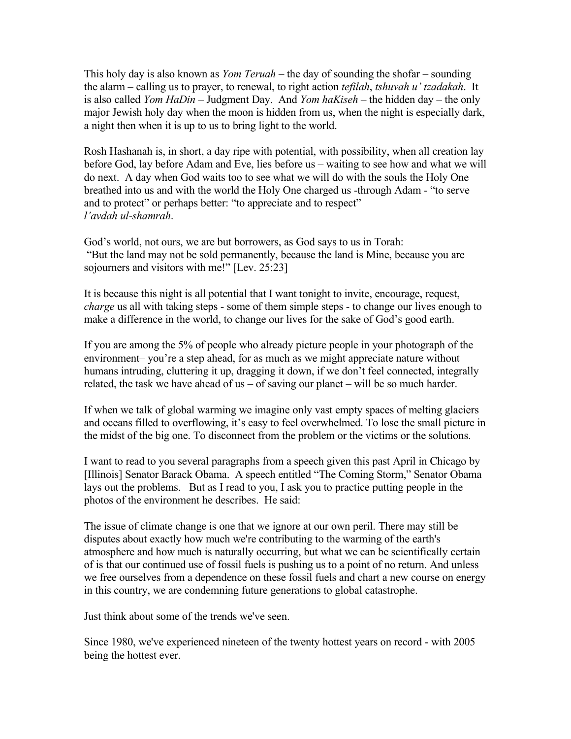This holy day is also known as *Yom Teruah* – the day of sounding the shofar – sounding the alarm – calling us to prayer, to renewal, to right action *tefilah*, *tshuvah u' tzadakah*. It is also called *Yom HaDin* – Judgment Day. And *Yom haKiseh* – the hidden day – the only major Jewish holy day when the moon is hidden from us, when the night is especially dark, a night then when it is up to us to bring light to the world.

Rosh Hashanah is, in short, a day ripe with potential, with possibility, when all creation lay before God, lay before Adam and Eve, lies before us – waiting to see how and what we will do next. A day when God waits too to see what we will do with the souls the Holy One breathed into us and with the world the Holy One charged us -through Adam - "to serve and to protect" or perhaps better: "to appreciate and to respect" *l'avdah ul-shamrah*.

God's world, not ours, we are but borrowers, as God says to us in Torah: "But the land may not be sold permanently, because the land is Mine, because you are sojourners and visitors with me!" [Lev. 25:23]

It is because this night is all potential that I want tonight to invite, encourage, request, *charge* us all with taking steps - some of them simple steps - to change our lives enough to make a difference in the world, to change our lives for the sake of God's good earth.

If you are among the 5% of people who already picture people in your photograph of the environment– you're a step ahead, for as much as we might appreciate nature without humans intruding, cluttering it up, dragging it down, if we don't feel connected, integrally related, the task we have ahead of us – of saving our planet – will be so much harder.

If when we talk of global warming we imagine only vast empty spaces of melting glaciers and oceans filled to overflowing, it's easy to feel overwhelmed. To lose the small picture in the midst of the big one. To disconnect from the problem or the victims or the solutions.

I want to read to you several paragraphs from a speech given this past April in Chicago by [Illinois] Senator Barack Obama. A speech entitled "The Coming Storm," Senator Obama lays out the problems. But as I read to you, I ask you to practice putting people in the photos of the environment he describes. He said:

The issue of climate change is one that we ignore at our own peril. There may still be disputes about exactly how much we're contributing to the warming of the earth's atmosphere and how much is naturally occurring, but what we can be scientifically certain of is that our continued use of fossil fuels is pushing us to a point of no return. And unless we free ourselves from a dependence on these fossil fuels and chart a new course on energy in this country, we are condemning future generations to global catastrophe.

Just think about some of the trends we've seen.

Since 1980, we've experienced nineteen of the twenty hottest years on record - with 2005 being the hottest ever.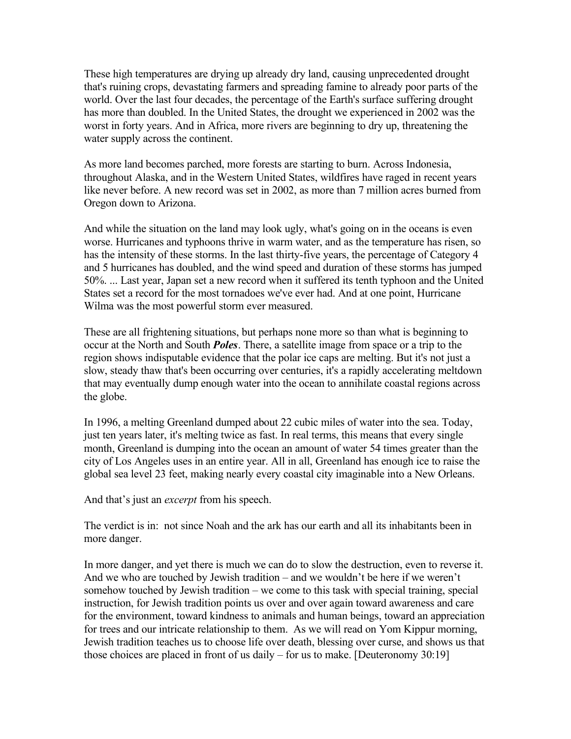These high temperatures are drying up already dry land, causing unprecedented drought that's ruining crops, devastating farmers and spreading famine to already poor parts of the world. Over the last four decades, the percentage of the Earth's surface suffering drought has more than doubled. In the United States, the drought we experienced in 2002 was the worst in forty years. And in Africa, more rivers are beginning to dry up, threatening the water supply across the continent.

As more land becomes parched, more forests are starting to burn. Across Indonesia, throughout Alaska, and in the Western United States, wildfires have raged in recent years like never before. A new record was set in 2002, as more than 7 million acres burned from Oregon down to Arizona.

And while the situation on the land may look ugly, what's going on in the oceans is even worse. Hurricanes and typhoons thrive in warm water, and as the temperature has risen, so has the intensity of these storms. In the last thirty-five years, the percentage of Category 4 and 5 hurricanes has doubled, and the wind speed and duration of these storms has jumped 50%. ... Last year, Japan set a new record when it suffered its tenth typhoon and the United States set a record for the most tornadoes we've ever had. And at one point, Hurricane Wilma was the most powerful storm ever measured.

These are all frightening situations, but perhaps none more so than what is beginning to occur at the North and South *Poles*. There, a satellite image from space or a trip to the region shows indisputable evidence that the polar ice caps are melting. But it's not just a slow, steady thaw that's been occurring over centuries, it's a rapidly accelerating meltdown that may eventually dump enough water into the ocean to annihilate coastal regions across the globe.

In 1996, a melting Greenland dumped about 22 cubic miles of water into the sea. Today, just ten years later, it's melting twice as fast. In real terms, this means that every single month, Greenland is dumping into the ocean an amount of water 54 times greater than the city of Los Angeles uses in an entire year. All in all, Greenland has enough ice to raise the global sea level 23 feet, making nearly every coastal city imaginable into a New Orleans.

And that's just an *excerpt* from his speech.

The verdict is in: not since Noah and the ark has our earth and all its inhabitants been in more danger.

In more danger, and yet there is much we can do to slow the destruction, even to reverse it. And we who are touched by Jewish tradition – and we wouldn't be here if we weren't somehow touched by Jewish tradition – we come to this task with special training, special instruction, for Jewish tradition points us over and over again toward awareness and care for the environment, toward kindness to animals and human beings, toward an appreciation for trees and our intricate relationship to them. As we will read on Yom Kippur morning, Jewish tradition teaches us to choose life over death, blessing over curse, and shows us that those choices are placed in front of us daily – for us to make. [Deuteronomy 30:19]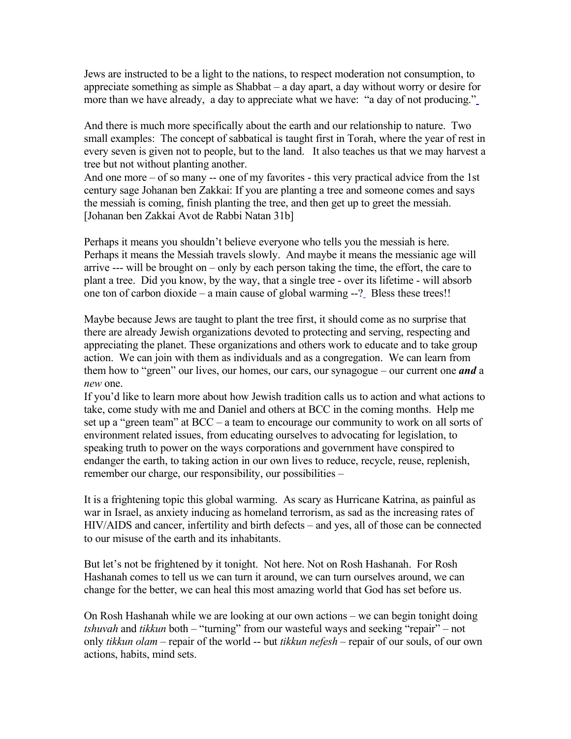Jews are instructed to be a light to the nations, to respect moderation not consumption, to appreciate something as simple as Shabbat – a day apart, a day without worry or desire for more than we have already, a day to appreciate what we have: "a day of not producing."

And there is much more specifically about the earth and our relationship to nature. Two small examples: The concept of sabbatical is taught first in Torah, where the year of rest in every seven is given not to people, but to the land. It also teaches us that we may harvest a tree but not without planting another.

And one more – of so many -- one of my favorites - this very practical advice from the 1st century sage Johanan ben Zakkai: If you are planting a tree and someone comes and says the messiah is coming, finish planting the tree, and then get up to greet the messiah. [Johanan ben Zakkai Avot de Rabbi Natan 31b]

Perhaps it means you shouldn't believe everyone who tells you the messiah is here. Perhaps it means the Messiah travels slowly. And maybe it means the messianic age will arrive --- will be brought on – only by each person taking the time, the effort, the care to plant a tree. Did you know, by the way, that a single tree - over its lifetime - will absorb one ton of carbon dioxide – a main cause of global warming --? Bless these trees!!

Maybe because Jews are taught to plant the tree first, it should come as no surprise that there are already Jewish organizations devoted to protecting and serving, respecting and appreciating the planet. These organizations and others work to educate and to take group action. We can join with them as individuals and as a congregation. We can learn from them how to "green" our lives, our homes, our cars, our synagogue – our current one *and* a *new* one.

If you'd like to learn more about how Jewish tradition calls us to action and what actions to take, come study with me and Daniel and others at BCC in the coming months. Help me set up a "green team" at BCC – a team to encourage our community to work on all sorts of environment related issues, from educating ourselves to advocating for legislation, to speaking truth to power on the ways corporations and government have conspired to endanger the earth, to taking action in our own lives to reduce, recycle, reuse, replenish, remember our charge, our responsibility, our possibilities –

It is a frightening topic this global warming. As scary as Hurricane Katrina, as painful as war in Israel, as anxiety inducing as homeland terrorism, as sad as the increasing rates of HIV/AIDS and cancer, infertility and birth defects – and yes, all of those can be connected to our misuse of the earth and its inhabitants.

But let's not be frightened by it tonight. Not here. Not on Rosh Hashanah. For Rosh Hashanah comes to tell us we can turn it around, we can turn ourselves around, we can change for the better, we can heal this most amazing world that God has set before us.

On Rosh Hashanah while we are looking at our own actions – we can begin tonight doing *tshuvah* and *tikkun* both – "turning" from our wasteful ways and seeking "repair" – not only *tikkun olam* – repair of the world -- but *tikkun nefesh* – repair of our souls, of our own actions, habits, mind sets.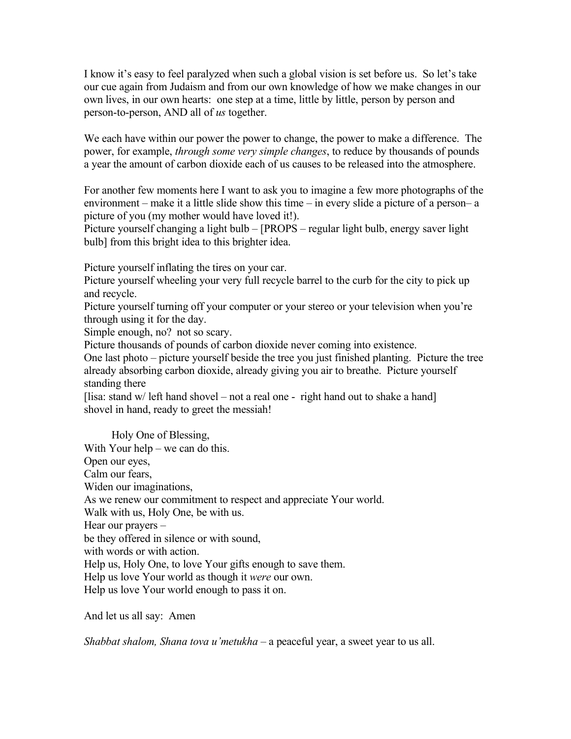I know it's easy to feel paralyzed when such a global vision is set before us. So let's take our cue again from Judaism and from our own knowledge of how we make changes in our own lives, in our own hearts: one step at a time, little by little, person by person and person-to-person, AND all of *us* together.

We each have within our power the power to change, the power to make a difference. The power, for example, *through some very simple changes*, to reduce by thousands of pounds a year the amount of carbon dioxide each of us causes to be released into the atmosphere.

For another few moments here I want to ask you to imagine a few more photographs of the environment – make it a little slide show this time – in every slide a picture of a person– a picture of you (my mother would have loved it!).

Picture yourself changing a light bulb – [PROPS – regular light bulb, energy saver light bulb] from this bright idea to this brighter idea.

Picture yourself inflating the tires on your car.

Picture yourself wheeling your very full recycle barrel to the curb for the city to pick up and recycle.

Picture yourself turning off your computer or your stereo or your television when you're through using it for the day.

Simple enough, no? not so scary.

Picture thousands of pounds of carbon dioxide never coming into existence.

One last photo – picture yourself beside the tree you just finished planting. Picture the tree already absorbing carbon dioxide, already giving you air to breathe. Picture yourself standing there

[lisa: stand w/ left hand shovel – not a real one - right hand out to shake a hand] shovel in hand, ready to greet the messiah!

 Holy One of Blessing, With Your help – we can do this. Open our eyes, Calm our fears, Widen our imaginations, As we renew our commitment to respect and appreciate Your world. Walk with us, Holy One, be with us. Hear our prayers – be they offered in silence or with sound, with words or with action. Help us, Holy One, to love Your gifts enough to save them. Help us love Your world as though it *were* our own. Help us love Your world enough to pass it on.

And let us all say: Amen

*Shabbat shalom, Shana tova u'metukha* – a peaceful year, a sweet year to us all.